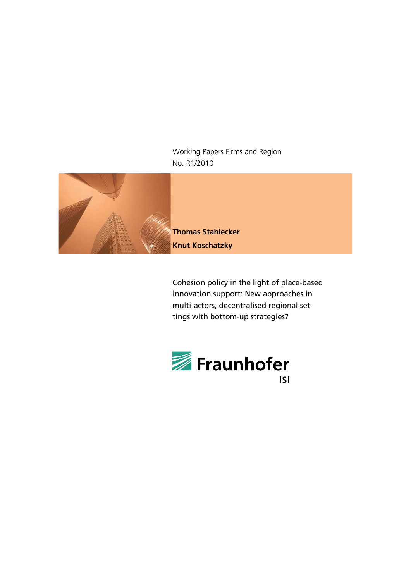Working Papers Firms and Region No. R1/2010



**Thomas Stahlecker Knut Koschatzky**

Cohesion policy in the light of place-based innovation support: New approaches in multi-actors, decentralised regional settings with bottom-up strategies?

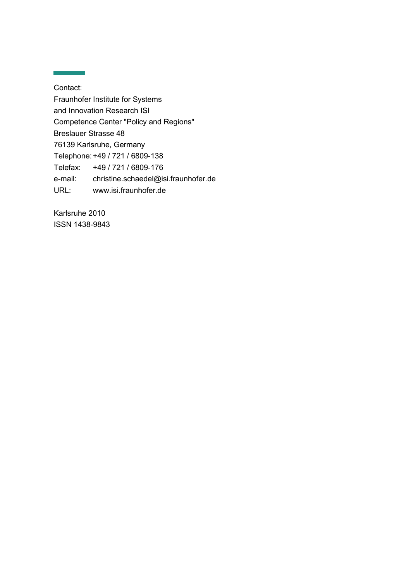Contact: Fraunhofer Institute for Systems and Innovation Research ISI Competence Center "Policy and Regions" Breslauer Strasse 48 76139 Karlsruhe, Germany Telephone:+49 / 721 / 6809-138 Telefax: +49 / 721 / 6809-176 e-mail: christine.schaedel@isi.fraunhofer.de URL: www.isi.fraunhofer.de

Karlsruhe 2010 ISSN 1438-9843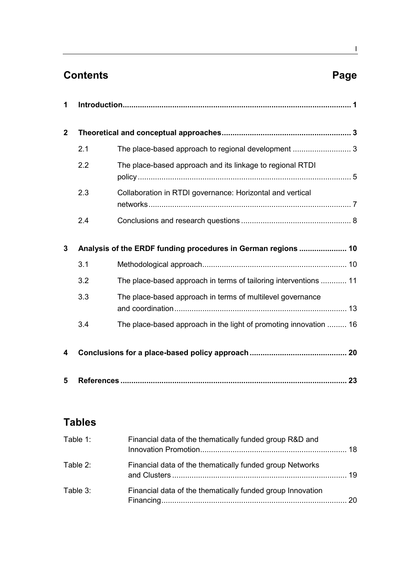# **Contents Page**

| 1            |     |                                                                   |  |
|--------------|-----|-------------------------------------------------------------------|--|
| $\mathbf{2}$ |     |                                                                   |  |
|              | 2.1 | The place-based approach to regional development  3               |  |
|              | 2.2 | The place-based approach and its linkage to regional RTDI         |  |
|              | 2.3 | Collaboration in RTDI governance: Horizontal and vertical         |  |
|              | 2.4 |                                                                   |  |
| 3            |     | Analysis of the ERDF funding procedures in German regions  10     |  |
|              | 3.1 |                                                                   |  |
|              | 3.2 | The place-based approach in terms of tailoring interventions  11  |  |
|              | 3.3 | The place-based approach in terms of multilevel governance        |  |
|              | 3.4 | The place-based approach in the light of promoting innovation  16 |  |
| 4            |     |                                                                   |  |
| 5            |     |                                                                   |  |

# **Tables**

| Table 1: | Financial data of the thematically funded group R&D and    |    |
|----------|------------------------------------------------------------|----|
| Table 2: | Financial data of the thematically funded group Networks   | 19 |
| Table 3: | Financial data of the thematically funded group Innovation | 20 |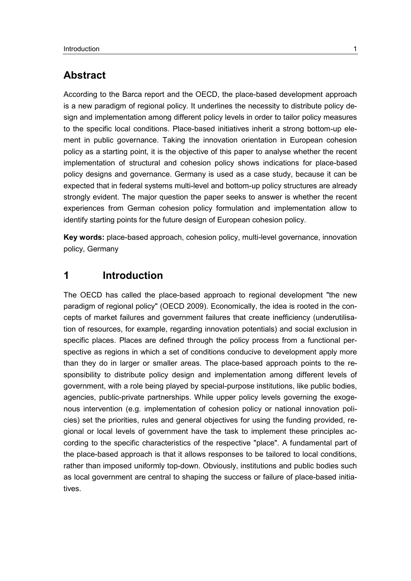# **Abstract**

According to the Barca report and the OECD, the place-based development approach is a new paradigm of regional policy. It underlines the necessity to distribute policy design and implementation among different policy levels in order to tailor policy measures to the specific local conditions. Place-based initiatives inherit a strong bottom-up element in public governance. Taking the innovation orientation in European cohesion policy as a starting point, it is the objective of this paper to analyse whether the recent implementation of structural and cohesion policy shows indications for place-based policy designs and governance. Germany is used as a case study, because it can be expected that in federal systems multi-level and bottom-up policy structures are already strongly evident. The major question the paper seeks to answer is whether the recent experiences from German cohesion policy formulation and implementation allow to identify starting points for the future design of European cohesion policy.

**Key words:** place-based approach, cohesion policy, multi-level governance, innovation policy, Germany

# <span id="page-4-0"></span>**1 Introduction**

The OECD has called the place-based approach to regional development "the new paradigm of regional policy" (OECD 2009). Economically, the idea is rooted in the concepts of market failures and government failures that create inefficiency (underutilisation of resources, for example, regarding innovation potentials) and social exclusion in specific places. Places are defined through the policy process from a functional perspective as regions in which a set of conditions conducive to development apply more than they do in larger or smaller areas. The place-based approach points to the responsibility to distribute policy design and implementation among different levels of government, with a role being played by special-purpose institutions, like public bodies, agencies, public-private partnerships. While upper policy levels governing the exogenous intervention (e.g. implementation of cohesion policy or national innovation policies) set the priorities, rules and general objectives for using the funding provided, regional or local levels of government have the task to implement these principles according to the specific characteristics of the respective "place". A fundamental part of the place-based approach is that it allows responses to be tailored to local conditions, rather than imposed uniformly top-down. Obviously, institutions and public bodies such as local government are central to shaping the success or failure of place-based initiatives.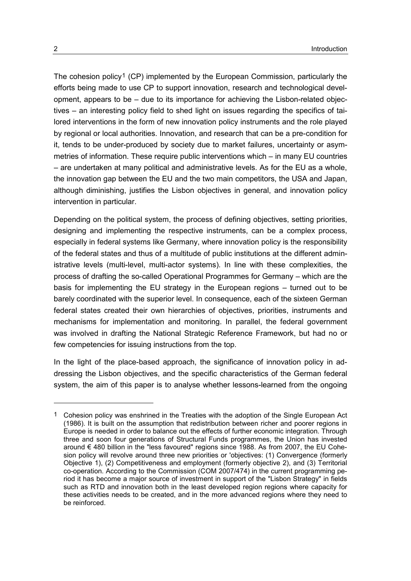The cohesion policy[1](#page-5-0) (CP) implemented by the European Commission, particularly the efforts being made to use CP to support innovation, research and technological development, appears to be – due to its importance for achieving the Lisbon-related objectives – an interesting policy field to shed light on issues regarding the specifics of tailored interventions in the form of new innovation policy instruments and the role played by regional or local authorities. Innovation, and research that can be a pre-condition for it, tends to be under-produced by society due to market failures, uncertainty or asymmetries of information. These require public interventions which – in many EU countries – are undertaken at many political and administrative levels. As for the EU as a whole, the innovation gap between the EU and the two main competitors, the USA and Japan, although diminishing, justifies the Lisbon objectives in general, and innovation policy intervention in particular.

Depending on the political system, the process of defining objectives, setting priorities, designing and implementing the respective instruments, can be a complex process, especially in federal systems like Germany, where innovation policy is the responsibility of the federal states and thus of a multitude of public institutions at the different administrative levels (multi-level, multi-actor systems). In line with these complexities, the process of drafting the so-called Operational Programmes for Germany – which are the basis for implementing the EU strategy in the European regions – turned out to be barely coordinated with the superior level. In consequence, each of the sixteen German federal states created their own hierarchies of objectives, priorities, instruments and mechanisms for implementation and monitoring. In parallel, the federal government was involved in drafting the National Strategic Reference Framework, but had no or few competencies for issuing instructions from the top.

In the light of the place-based approach, the significance of innovation policy in addressing the Lisbon objectives, and the specific characteristics of the German federal system, the aim of this paper is to analyse whether lessons-learned from the ongoing

-

<span id="page-5-0"></span><sup>1</sup> Cohesion policy was enshrined in the Treaties with the adoption of the Single European Act (1986). It is built on the assumption that redistribution between richer and poorer regions in Europe is needed in order to balance out the effects of further economic integration. Through three and soon four generations of Structural Funds programmes, the Union has invested around € 480 billion in the "less favoured" regions since 1988. As from 2007, the EU Cohesion policy will revolve around three new priorities or 'objectives: (1) Convergence (formerly Objective 1), (2) Competitiveness and employment (formerly objective 2), and (3) Territorial co-operation. According to the Commission (COM 2007/474) in the current programming period it has become a major source of investment in support of the "Lisbon Strategy" in fields such as RTD and innovation both in the least developed region regions where capacity for these activities needs to be created, and in the more advanced regions where they need to be reinforced.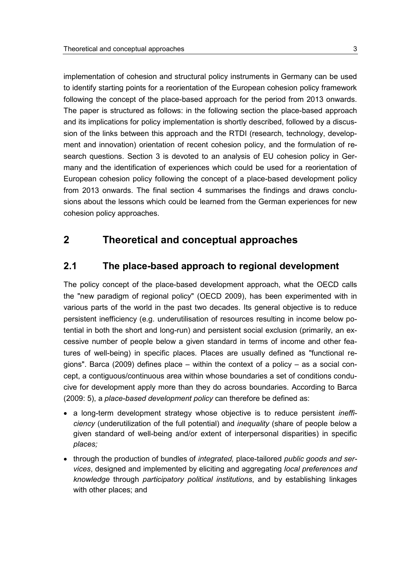implementation of cohesion and structural policy instruments in Germany can be used to identify starting points for a reorientation of the European cohesion policy framework following the concept of the place-based approach for the period from 2013 onwards. The paper is structured as follows: in the following section the place-based approach and its implications for policy implementation is shortly described, followed by a discussion of the links between this approach and the RTDI (research, technology, development and innovation) orientation of recent cohesion policy, and the formulation of research questions. Section 3 is devoted to an analysis of EU cohesion policy in Germany and the identification of experiences which could be used for a reorientation of European cohesion policy following the concept of a place-based development policy from 2013 onwards. The final section 4 summarises the findings and draws conclusions about the lessons which could be learned from the German experiences for new cohesion policy approaches.

# <span id="page-6-1"></span><span id="page-6-0"></span>**2 Theoretical and conceptual approaches**

#### **2.1 The place-based approach to regional development**

The policy concept of the place-based development approach, what the OECD calls the "new paradigm of regional policy" (OECD 2009), has been experimented with in various parts of the world in the past two decades. Its general objective is to reduce persistent inefficiency (e.g. underutilisation of resources resulting in income below potential in both the short and long-run) and persistent social exclusion (primarily, an excessive number of people below a given standard in terms of income and other features of well-being) in specific places. Places are usually defined as "functional regions". Barca (2009) defines place – within the context of a policy – as a social concept, a contiguous/continuous area within whose boundaries a set of conditions conducive for development apply more than they do across boundaries. According to Barca (2009: 5), a *place-based development policy* can therefore be defined as:

- a long-term development strategy whose objective is to reduce persistent *inefficiency* (underutilization of the full potential) and *inequality* (share of people below a given standard of well-being and/or extent of interpersonal disparities) in specific *places;*
- through the production of bundles of *integrated,* place-tailored *public goods and services*, designed and implemented by eliciting and aggregating *local preferences and knowledge* through *participatory political institutions*, and by establishing linkages with other places; and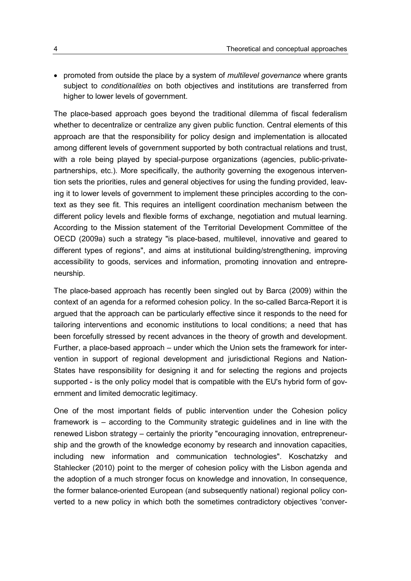• promoted from outside the place by a system of *multilevel governance* where grants subject to *conditionalities* on both objectives and institutions are transferred from higher to lower levels of government.

The place-based approach goes beyond the traditional dilemma of fiscal federalism whether to decentralize or centralize any given public function. Central elements of this approach are that the responsibility for policy design and implementation is allocated among different levels of government supported by both contractual relations and trust, with a role being played by special-purpose organizations (agencies, public-privatepartnerships, etc.). More specifically, the authority governing the exogenous intervention sets the priorities, rules and general objectives for using the funding provided, leaving it to lower levels of government to implement these principles according to the context as they see fit. This requires an intelligent coordination mechanism between the different policy levels and flexible forms of exchange, negotiation and mutual learning. According to the Mission statement of the Territorial Development Committee of the OECD (2009a) such a strategy "is place-based, multilevel, innovative and geared to different types of regions", and aims at institutional building/strengthening, improving accessibility to goods, services and information, promoting innovation and entrepreneurship.

The place-based approach has recently been singled out by Barca (2009) within the context of an agenda for a reformed cohesion policy. In the so-called Barca-Report it is argued that the approach can be particularly effective since it responds to the need for tailoring interventions and economic institutions to local conditions; a need that has been forcefully stressed by recent advances in the theory of growth and development. Further, a place-based approach – under which the Union sets the framework for intervention in support of regional development and jurisdictional Regions and Nation-States have responsibility for designing it and for selecting the regions and projects supported - is the only policy model that is compatible with the EU's hybrid form of government and limited democratic legitimacy.

One of the most important fields of public intervention under the Cohesion policy framework is – according to the Community strategic guidelines and in line with the renewed Lisbon strategy – certainly the priority "encouraging innovation, entrepreneurship and the growth of the knowledge economy by research and innovation capacities, including new information and communication technologies". Koschatzky and Stahlecker (2010) point to the merger of cohesion policy with the Lisbon agenda and the adoption of a much stronger focus on knowledge and innovation, In consequence, the former balance-oriented European (and subsequently national) regional policy converted to a new policy in which both the sometimes contradictory objectives 'conver-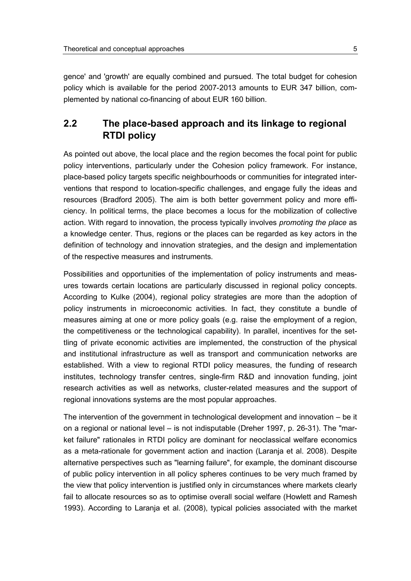gence' and 'growth' are equally combined and pursued. The total budget for cohesion policy which is available for the period 2007-2013 amounts to EUR 347 billion, complemented by national co-financing of about EUR 160 billion.

# <span id="page-8-0"></span>**2.2 The place-based approach and its linkage to regional RTDI policy**

As pointed out above, the local place and the region becomes the focal point for public policy interventions, particularly under the Cohesion policy framework. For instance, place-based policy targets specific neighbourhoods or communities for integrated interventions that respond to location-specific challenges, and engage fully the ideas and resources (Bradford 2005). The aim is both better government policy and more efficiency. In political terms, the place becomes a locus for the mobilization of collective action. With regard to innovation, the process typically involves *promoting the place* as a knowledge center. Thus, regions or the places can be regarded as key actors in the definition of technology and innovation strategies, and the design and implementation of the respective measures and instruments.

Possibilities and opportunities of the implementation of policy instruments and measures towards certain locations are particularly discussed in regional policy concepts. According to Kulke (2004), regional policy strategies are more than the adoption of policy instruments in microeconomic activities. In fact, they constitute a bundle of measures aiming at one or more policy goals (e.g. raise the employment of a region, the competitiveness or the technological capability). In parallel, incentives for the settling of private economic activities are implemented, the construction of the physical and institutional infrastructure as well as transport and communication networks are established. With a view to regional RTDI policy measures, the funding of research institutes, technology transfer centres, single-firm R&D and innovation funding, joint research activities as well as networks, cluster-related measures and the support of regional innovations systems are the most popular approaches.

The intervention of the government in technological development and innovation – be it on a regional or national level – is not indisputable (Dreher 1997, p. 26-31). The "market failure" rationales in RTDI policy are dominant for neoclassical welfare economics as a meta-rationale for government action and inaction (Laranja et al. 2008). Despite alternative perspectives such as "learning failure", for example, the dominant discourse of public policy intervention in all policy spheres continues to be very much framed by the view that policy intervention is justified only in circumstances where markets clearly fail to allocate resources so as to optimise overall social welfare (Howlett and Ramesh 1993). According to Laranja et al. (2008), typical policies associated with the market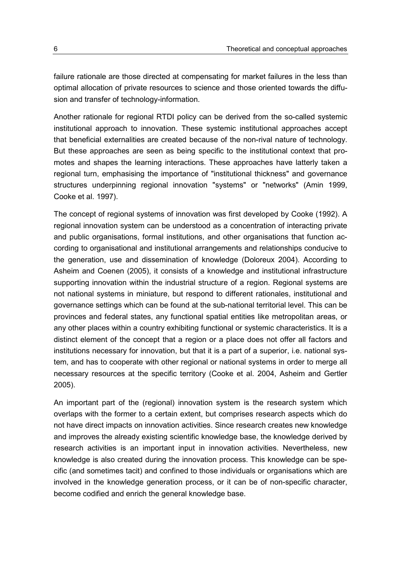failure rationale are those directed at compensating for market failures in the less than optimal allocation of private resources to science and those oriented towards the diffusion and transfer of technology-information.

Another rationale for regional RTDI policy can be derived from the so-called systemic institutional approach to innovation. These systemic institutional approaches accept that beneficial externalities are created because of the non-rival nature of technology. But these approaches are seen as being specific to the institutional context that promotes and shapes the learning interactions. These approaches have latterly taken a regional turn, emphasising the importance of "institutional thickness" and governance structures underpinning regional innovation "systems" or "networks" (Amin 1999, Cooke et al. 1997).

The concept of regional systems of innovation was first developed by Cooke (1992). A regional innovation system can be understood as a concentration of interacting private and public organisations, formal institutions, and other organisations that function according to organisational and institutional arrangements and relationships conducive to the generation, use and dissemination of knowledge (Doloreux 2004). According to Asheim and Coenen (2005), it consists of a knowledge and institutional infrastructure supporting innovation within the industrial structure of a region. Regional systems are not national systems in miniature, but respond to different rationales, institutional and governance settings which can be found at the sub-national territorial level. This can be provinces and federal states, any functional spatial entities like metropolitan areas, or any other places within a country exhibiting functional or systemic characteristics. It is a distinct element of the concept that a region or a place does not offer all factors and institutions necessary for innovation, but that it is a part of a superior, i.e. national system, and has to cooperate with other regional or national systems in order to merge all necessary resources at the specific territory (Cooke et al. 2004, Asheim and Gertler 2005).

An important part of the (regional) innovation system is the research system which overlaps with the former to a certain extent, but comprises research aspects which do not have direct impacts on innovation activities. Since research creates new knowledge and improves the already existing scientific knowledge base, the knowledge derived by research activities is an important input in innovation activities. Nevertheless, new knowledge is also created during the innovation process. This knowledge can be specific (and sometimes tacit) and confined to those individuals or organisations which are involved in the knowledge generation process, or it can be of non-specific character, become codified and enrich the general knowledge base.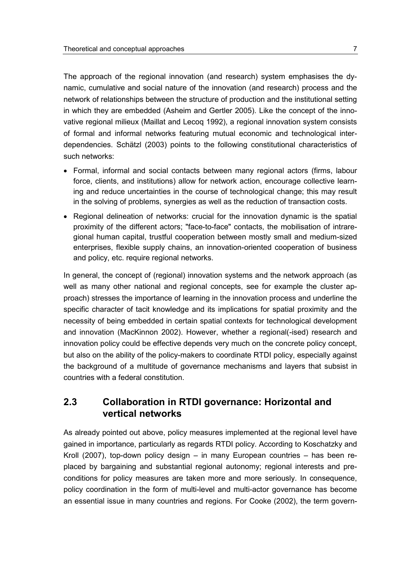The approach of the regional innovation (and research) system emphasises the dynamic, cumulative and social nature of the innovation (and research) process and the network of relationships between the structure of production and the institutional setting in which they are embedded (Asheim and Gertler 2005). Like the concept of the innovative regional milieux (Maillat and Lecoq 1992), a regional innovation system consists of formal and informal networks featuring mutual economic and technological interdependencies. Schätzl (2003) points to the following constitutional characteristics of such networks:

- Formal, informal and social contacts between many regional actors (firms, labour force, clients, and institutions) allow for network action, encourage collective learning and reduce uncertainties in the course of technological change; this may result in the solving of problems, synergies as well as the reduction of transaction costs.
- Regional delineation of networks: crucial for the innovation dynamic is the spatial proximity of the different actors; "face-to-face" contacts, the mobilisation of intraregional human capital, trustful cooperation between mostly small and medium-sized enterprises, flexible supply chains, an innovation-oriented cooperation of business and policy, etc. require regional networks.

In general, the concept of (regional) innovation systems and the network approach (as well as many other national and regional concepts, see for example the cluster approach) stresses the importance of learning in the innovation process and underline the specific character of tacit knowledge and its implications for spatial proximity and the necessity of being embedded in certain spatial contexts for technological development and innovation (MacKinnon 2002). However, whether a regional(-ised) research and innovation policy could be effective depends very much on the concrete policy concept, but also on the ability of the policy-makers to coordinate RTDI policy, especially against the background of a multitude of governance mechanisms and layers that subsist in countries with a federal constitution.

#### <span id="page-10-0"></span>**2.3 Collaboration in RTDI governance: Horizontal and vertical networks**

As already pointed out above, policy measures implemented at the regional level have gained in importance, particularly as regards RTDI policy. According to Koschatzky and Kroll (2007), top-down policy design – in many European countries – has been replaced by bargaining and substantial regional autonomy; regional interests and preconditions for policy measures are taken more and more seriously. In consequence, policy coordination in the form of multi-level and multi-actor governance has become an essential issue in many countries and regions. For Cooke (2002), the term govern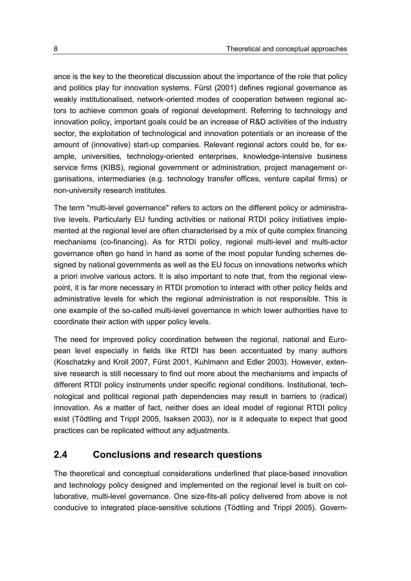ance is the key to the theoretical discussion about the importance of the role that policy and politics play for innovation systems. Fürst (2001) defines regional governance as weakly institutionalised, network-oriented modes of cooperation between regional actors to achieve common goals of regional development. Referring to technology and innovation policy, important goals could be an increase of R&D activities of the industry sector, the exploitation of technological and innovation potentials or an increase of the amount of (innovative) start-up companies. Relevant regional actors could be, for example, universities, technology-oriented enterprises, knowledge-intensive business service firms (KIBS), regional government or administration, project management organisations, intermediaries (e.g. technology transfer offices, venture capital firms) or non-university research institutes.

The term "multi-level governance" refers to actors on the different policy or administrative levels. Particularly EU funding activities or national RTDI policy initiatives implemented at the regional level are often characterised by a mix of quite complex financing mechanisms (co-financing). As for RTDI policy, regional multi-level and multi-actor governance often go hand in hand as some of the most popular funding schemes designed by national governments as well as the EU focus on innovations networks which a priori involve various actors. It is also important to note that, from the regional viewpoint, it is far more necessary in RTDI promotion to interact with other policy fields and administrative levels for which the regional administration is not responsible. This is one example of the so-called multi-level governance in which lower authorities have to coordinate their action with upper policy levels.

The need for improved policy coordination between the regional, national and European level especially in fields like RTDI has been accentuated by many authors (Koschatzky and Kroll 2007, Fürst 2001, Kuhlmann and Edler 2003). However, extensive research is still necessary to find out more about the mechanisms and impacts of different RTDI policy instruments under specific regional conditions. Institutional, technological and political regional path dependencies may result in barriers to (radical) innovation. As a matter of fact, neither does an ideal model of regional RTDI policy exist (Tödtling and Trippl 2005, Isaksen 2003), nor is it adequate to expect that good practices can be replicated without any adjustments.

#### <span id="page-11-0"></span>**2.4 Conclusions and research questions**

The theoretical and conceptual considerations underlined that place-based innovation and technology policy designed and implemented on the regional level is built on collaborative, multi-level governance. One size-fits-all policy delivered from above is not conducive to integrated place-sensitive solutions (Tödtling and Trippl 2005). Govern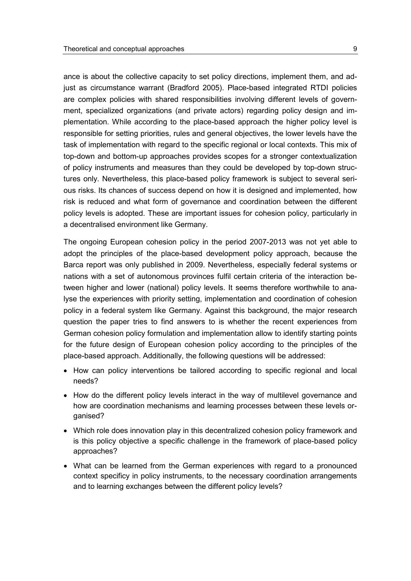ance is about the collective capacity to set policy directions, implement them, and adjust as circumstance warrant (Bradford 2005). Place-based integrated RTDI policies are complex policies with shared responsibilities involving different levels of government, specialized organizations (and private actors) regarding policy design and implementation. While according to the place-based approach the higher policy level is responsible for setting priorities, rules and general objectives, the lower levels have the task of implementation with regard to the specific regional or local contexts. This mix of top-down and bottom-up approaches provides scopes for a stronger contextualization of policy instruments and measures than they could be developed by top-down structures only. Nevertheless, this place-based policy framework is subject to several serious risks. Its chances of success depend on how it is designed and implemented, how risk is reduced and what form of governance and coordination between the different policy levels is adopted. These are important issues for cohesion policy, particularly in a decentralised environment like Germany.

The ongoing European cohesion policy in the period 2007-2013 was not yet able to adopt the principles of the place-based development policy approach, because the Barca report was only published in 2009. Nevertheless, especially federal systems or nations with a set of autonomous provinces fulfil certain criteria of the interaction between higher and lower (national) policy levels. It seems therefore worthwhile to analyse the experiences with priority setting, implementation and coordination of cohesion policy in a federal system like Germany. Against this background, the major research question the paper tries to find answers to is whether the recent experiences from German cohesion policy formulation and implementation allow to identify starting points for the future design of European cohesion policy according to the principles of the place-based approach. Additionally, the following questions will be addressed:

- How can policy interventions be tailored according to specific regional and local needs?
- How do the different policy levels interact in the way of multilevel governance and how are coordination mechanisms and learning processes between these levels organised?
- Which role does innovation play in this decentralized cohesion policy framework and is this policy objective a specific challenge in the framework of place-based policy approaches?
- What can be learned from the German experiences with regard to a pronounced context specificy in policy instruments, to the necessary coordination arrangements and to learning exchanges between the different policy levels?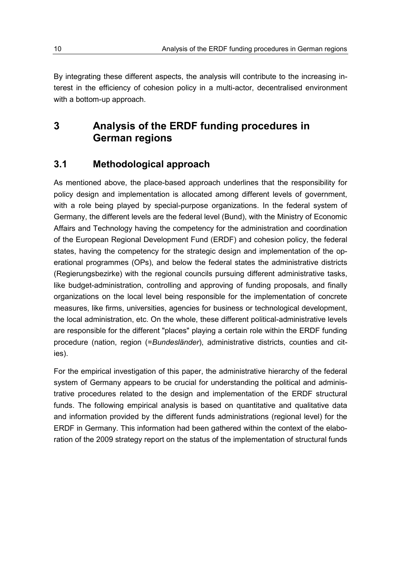By integrating these different aspects, the analysis will contribute to the increasing interest in the efficiency of cohesion policy in a multi-actor, decentralised environment with a bottom-up approach.

# <span id="page-13-0"></span>**3 Analysis of the ERDF funding procedures in German regions**

## <span id="page-13-1"></span>**3.1 Methodological approach**

As mentioned above, the place-based approach underlines that the responsibility for policy design and implementation is allocated among different levels of government, with a role being played by special-purpose organizations. In the federal system of Germany, the different levels are the federal level (Bund), with the Ministry of Economic Affairs and Technology having the competency for the administration and coordination of the European Regional Development Fund (ERDF) and cohesion policy, the federal states, having the competency for the strategic design and implementation of the operational programmes (OPs), and below the federal states the administrative districts (Regierungsbezirke) with the regional councils pursuing different administrative tasks, like budget-administration, controlling and approving of funding proposals, and finally organizations on the local level being responsible for the implementation of concrete measures, like firms, universities, agencies for business or technological development, the local administration, etc. On the whole, these different political-administrative levels are responsible for the different "places" playing a certain role within the ERDF funding procedure (nation, region (=*Bundesländer*), administrative districts, counties and cities).

For the empirical investigation of this paper, the administrative hierarchy of the federal system of Germany appears to be crucial for understanding the political and administrative procedures related to the design and implementation of the ERDF structural funds. The following empirical analysis is based on quantitative and qualitative data and information provided by the different funds administrations (regional level) for the ERDF in Germany. This information had been gathered within the context of the elaboration of the 2009 strategy report on the status of the implementation of structural funds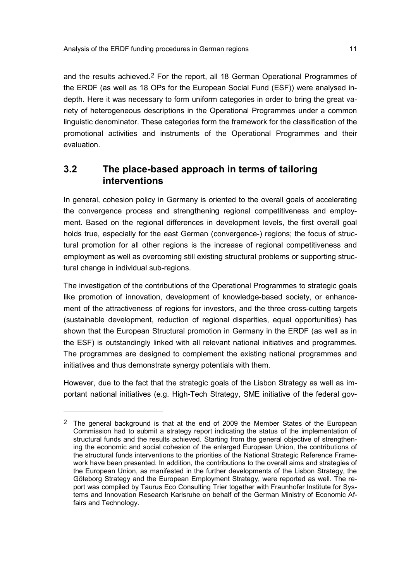and the results achieved.<sup>[2](#page-14-1)</sup> For the report, all 18 German Operational Programmes of the ERDF (as well as 18 OPs for the European Social Fund (ESF)) were analysed indepth. Here it was necessary to form uniform categories in order to bring the great variety of heterogeneous descriptions in the Operational Programmes under a common linguistic denominator. These categories form the framework for the classification of the promotional activities and instruments of the Operational Programmes and their evaluation.

# <span id="page-14-0"></span>**3.2 The place-based approach in terms of tailoring interventions**

In general, cohesion policy in Germany is oriented to the overall goals of accelerating the convergence process and strengthening regional competitiveness and employment. Based on the regional differences in development levels, the first overall goal holds true, especially for the east German (convergence-) regions; the focus of structural promotion for all other regions is the increase of regional competitiveness and employment as well as overcoming still existing structural problems or supporting structural change in individual sub-regions.

The investigation of the contributions of the Operational Programmes to strategic goals like promotion of innovation, development of knowledge-based society, or enhancement of the attractiveness of regions for investors, and the three cross-cutting targets (sustainable development, reduction of regional disparities, equal opportunities) has shown that the European Structural promotion in Germany in the ERDF (as well as in the ESF) is outstandingly linked with all relevant national initiatives and programmes. The programmes are designed to complement the existing national programmes and initiatives and thus demonstrate synergy potentials with them.

However, due to the fact that the strategic goals of the Lisbon Strategy as well as important national initiatives (e.g. High-Tech Strategy, SME initiative of the federal gov-

 $\ddot{\phantom{a}}$ 

<span id="page-14-1"></span><sup>2</sup> The general background is that at the end of 2009 the Member States of the European Commission had to submit a strategy report indicating the status of the implementation of structural funds and the results achieved. Starting from the general objective of strengthening the economic and social cohesion of the enlarged European Union, the contributions of the structural funds interventions to the priorities of the National Strategic Reference Framework have been presented. In addition, the contributions to the overall aims and strategies of the European Union, as manifested in the further developments of the Lisbon Strategy, the Göteborg Strategy and the European Employment Strategy, were reported as well. The report was compiled by Taurus Eco Consulting Trier together with Fraunhofer Institute for Systems and Innovation Research Karlsruhe on behalf of the German Ministry of Economic Affairs and Technology.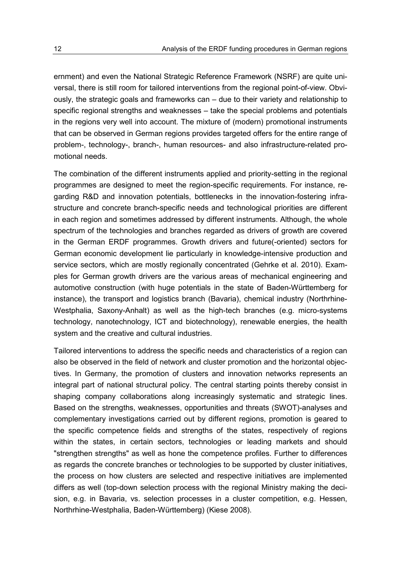ernment) and even the National Strategic Reference Framework (NSRF) are quite universal, there is still room for tailored interventions from the regional point-of-view. Obviously, the strategic goals and frameworks can – due to their variety and relationship to specific regional strengths and weaknesses – take the special problems and potentials in the regions very well into account. The mixture of (modern) promotional instruments that can be observed in German regions provides targeted offers for the entire range of problem-, technology-, branch-, human resources- and also infrastructure-related promotional needs.

The combination of the different instruments applied and priority-setting in the regional programmes are designed to meet the region-specific requirements. For instance, regarding R&D and innovation potentials, bottlenecks in the innovation-fostering infrastructure and concrete branch-specific needs and technological priorities are different in each region and sometimes addressed by different instruments. Although, the whole spectrum of the technologies and branches regarded as drivers of growth are covered in the German ERDF programmes. Growth drivers and future(-oriented) sectors for German economic development lie particularly in knowledge-intensive production and service sectors, which are mostly regionally concentrated (Gehrke et al. 2010). Examples for German growth drivers are the various areas of mechanical engineering and automotive construction (with huge potentials in the state of Baden-Württemberg for instance), the transport and logistics branch (Bavaria), chemical industry (Northrhine-Westphalia, Saxony-Anhalt) as well as the high-tech branches (e.g. micro-systems technology, nanotechnology, ICT and biotechnology), renewable energies, the health system and the creative and cultural industries.

Tailored interventions to address the specific needs and characteristics of a region can also be observed in the field of network and cluster promotion and the horizontal objectives. In Germany, the promotion of clusters and innovation networks represents an integral part of national structural policy. The central starting points thereby consist in shaping company collaborations along increasingly systematic and strategic lines. Based on the strengths, weaknesses, opportunities and threats (SWOT)-analyses and complementary investigations carried out by different regions, promotion is geared to the specific competence fields and strengths of the states, respectively of regions within the states, in certain sectors, technologies or leading markets and should "strengthen strengths" as well as hone the competence profiles. Further to differences as regards the concrete branches or technologies to be supported by cluster initiatives, the process on how clusters are selected and respective initiatives are implemented differs as well (top-down selection process with the regional Ministry making the decision, e.g. in Bavaria, vs. selection processes in a cluster competition, e.g. Hessen, Northrhine-Westphalia, Baden-Württemberg) (Kiese 2008).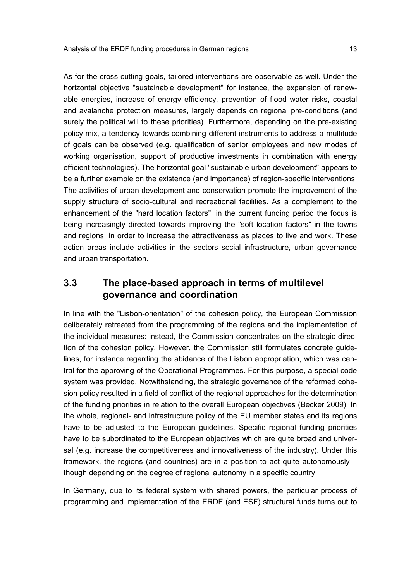As for the cross-cutting goals, tailored interventions are observable as well. Under the horizontal objective "sustainable development" for instance, the expansion of renewable energies, increase of energy efficiency, prevention of flood water risks, coastal and avalanche protection measures, largely depends on regional pre-conditions (and surely the political will to these priorities). Furthermore, depending on the pre-existing policy-mix, a tendency towards combining different instruments to address a multitude of goals can be observed (e.g. qualification of senior employees and new modes of working organisation, support of productive investments in combination with energy efficient technologies). The horizontal goal "sustainable urban development" appears to be a further example on the existence (and importance) of region-specific interventions: The activities of urban development and conservation promote the improvement of the supply structure of socio-cultural and recreational facilities. As a complement to the enhancement of the "hard location factors", in the current funding period the focus is being increasingly directed towards improving the "soft location factors" in the towns and regions, in order to increase the attractiveness as places to live and work. These action areas include activities in the sectors social infrastructure, urban governance and urban transportation.

# <span id="page-16-0"></span>**3.3 The place-based approach in terms of multilevel governance and coordination**

In line with the "Lisbon-orientation" of the cohesion policy, the European Commission deliberately retreated from the programming of the regions and the implementation of the individual measures: instead, the Commission concentrates on the strategic direction of the cohesion policy. However, the Commission still formulates concrete guidelines, for instance regarding the abidance of the Lisbon appropriation, which was central for the approving of the Operational Programmes. For this purpose, a special code system was provided. Notwithstanding, the strategic governance of the reformed cohesion policy resulted in a field of conflict of the regional approaches for the determination of the funding priorities in relation to the overall European objectives (Becker 2009). In the whole, regional- and infrastructure policy of the EU member states and its regions have to be adjusted to the European guidelines. Specific regional funding priorities have to be subordinated to the European objectives which are quite broad and universal (e.g. increase the competitiveness and innovativeness of the industry). Under this framework, the regions (and countries) are in a position to act quite autonomously – though depending on the degree of regional autonomy in a specific country.

In Germany, due to its federal system with shared powers, the particular process of programming and implementation of the ERDF (and ESF) structural funds turns out to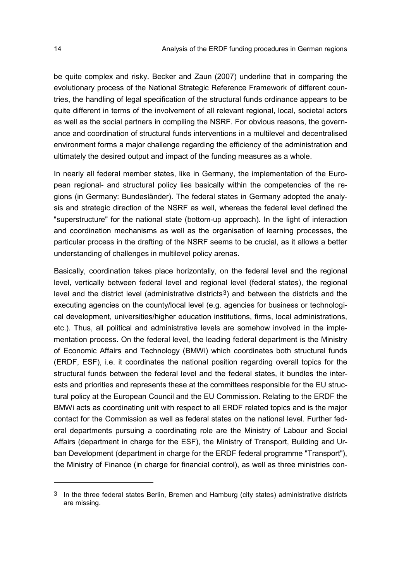be quite complex and risky. Becker and Zaun (2007) underline that in comparing the evolutionary process of the National Strategic Reference Framework of different countries, the handling of legal specification of the structural funds ordinance appears to be quite different in terms of the involvement of all relevant regional, local, societal actors as well as the social partners in compiling the NSRF. For obvious reasons, the governance and coordination of structural funds interventions in a multilevel and decentralised environment forms a major challenge regarding the efficiency of the administration and ultimately the desired output and impact of the funding measures as a whole.

In nearly all federal member states, like in Germany, the implementation of the European regional- and structural policy lies basically within the competencies of the regions (in Germany: Bundesländer). The federal states in Germany adopted the analysis and strategic direction of the NSRF as well, whereas the federal level defined the "superstructure" for the national state (bottom-up approach). In the light of interaction and coordination mechanisms as well as the organisation of learning processes, the particular process in the drafting of the NSRF seems to be crucial, as it allows a better understanding of challenges in multilevel policy arenas.

Basically, coordination takes place horizontally, on the federal level and the regional level, vertically between federal level and regional level (federal states), the regional level and the district level (administrative districts<sup>[3](#page-17-0)</sup>) and between the districts and the executing agencies on the county/local level (e.g. agencies for business or technological development, universities/higher education institutions, firms, local administrations, etc.). Thus, all political and administrative levels are somehow involved in the implementation process. On the federal level, the leading federal department is the Ministry of Economic Affairs and Technology (BMWi) which coordinates both structural funds (ERDF, ESF), i.e. it coordinates the national position regarding overall topics for the structural funds between the federal level and the federal states, it bundles the interests and priorities and represents these at the committees responsible for the EU structural policy at the European Council and the EU Commission. Relating to the ERDF the BMWi acts as coordinating unit with respect to all ERDF related topics and is the major contact for the Commission as well as federal states on the national level. Further federal departments pursuing a coordinating role are the Ministry of Labour and Social Affairs (department in charge for the ESF), the Ministry of Transport, Building and Urban Development (department in charge for the ERDF federal programme "Transport"), the Ministry of Finance (in charge for financial control), as well as three ministries con-

-

<span id="page-17-0"></span><sup>3</sup> In the three federal states Berlin, Bremen and Hamburg (city states) administrative districts are missing.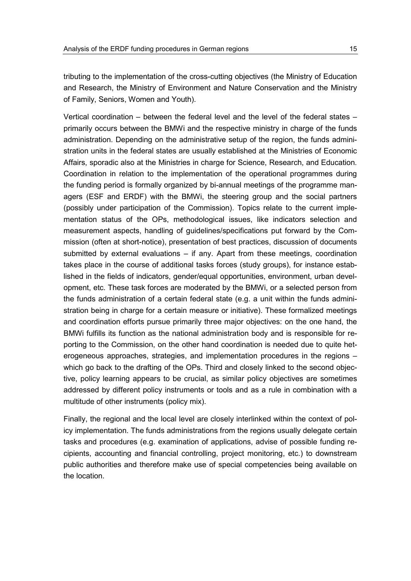tributing to the implementation of the cross-cutting objectives (the Ministry of Education and Research, the Ministry of Environment and Nature Conservation and the Ministry of Family, Seniors, Women and Youth).

Vertical coordination – between the federal level and the level of the federal states – primarily occurs between the BMWi and the respective ministry in charge of the funds administration. Depending on the administrative setup of the region, the funds administration units in the federal states are usually established at the Ministries of Economic Affairs, sporadic also at the Ministries in charge for Science, Research, and Education. Coordination in relation to the implementation of the operational programmes during the funding period is formally organized by bi-annual meetings of the programme managers (ESF and ERDF) with the BMWi, the steering group and the social partners (possibly under participation of the Commission). Topics relate to the current implementation status of the OPs, methodological issues, like indicators selection and measurement aspects, handling of guidelines/specifications put forward by the Commission (often at short-notice), presentation of best practices, discussion of documents submitted by external evaluations – if any. Apart from these meetings, coordination takes place in the course of additional tasks forces (study groups), for instance established in the fields of indicators, gender/equal opportunities, environment, urban development, etc. These task forces are moderated by the BMWi, or a selected person from the funds administration of a certain federal state (e.g. a unit within the funds administration being in charge for a certain measure or initiative). These formalized meetings and coordination efforts pursue primarily three major objectives: on the one hand, the BMWi fulfills its function as the national administration body and is responsible for reporting to the Commission, on the other hand coordination is needed due to quite heterogeneous approaches, strategies, and implementation procedures in the regions – which go back to the drafting of the OPs. Third and closely linked to the second objective, policy learning appears to be crucial, as similar policy objectives are sometimes addressed by different policy instruments or tools and as a rule in combination with a multitude of other instruments (policy mix).

Finally, the regional and the local level are closely interlinked within the context of policy implementation. The funds administrations from the regions usually delegate certain tasks and procedures (e.g. examination of applications, advise of possible funding recipients, accounting and financial controlling, project monitoring, etc.) to downstream public authorities and therefore make use of special competencies being available on the location.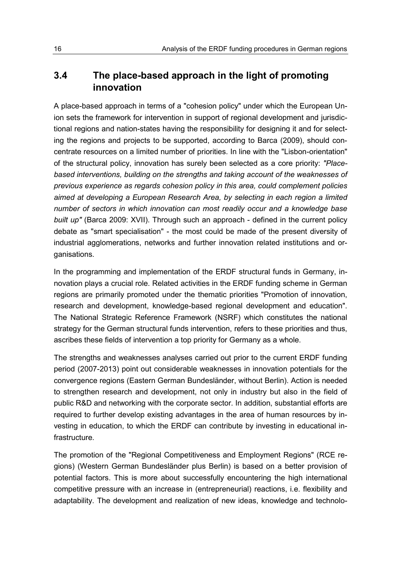# <span id="page-19-0"></span>**3.4 The place-based approach in the light of promoting innovation**

A place-based approach in terms of a "cohesion policy" under which the European Union sets the framework for intervention in support of regional development and jurisdictional regions and nation-states having the responsibility for designing it and for selecting the regions and projects to be supported, according to Barca (2009), should concentrate resources on a limited number of priorities. In line with the "Lisbon-orientation" of the structural policy, innovation has surely been selected as a core priority: *"Placebased interventions, building on the strengths and taking account of the weaknesses of previous experience as regards cohesion policy in this area, could complement policies aimed at developing a European Research Area, by selecting in each region a limited number of sectors in which innovation can most readily occur and a knowledge base built up"* (Barca 2009: XVII). Through such an approach - defined in the current policy debate as "smart specialisation" - the most could be made of the present diversity of industrial agglomerations, networks and further innovation related institutions and organisations.

In the programming and implementation of the ERDF structural funds in Germany, innovation plays a crucial role. Related activities in the ERDF funding scheme in German regions are primarily promoted under the thematic priorities "Promotion of innovation, research and development, knowledge-based regional development and education". The National Strategic Reference Framework (NSRF) which constitutes the national strategy for the German structural funds intervention, refers to these priorities and thus, ascribes these fields of intervention a top priority for Germany as a whole.

The strengths and weaknesses analyses carried out prior to the current ERDF funding period (2007-2013) point out considerable weaknesses in innovation potentials for the convergence regions (Eastern German Bundesländer, without Berlin). Action is needed to strengthen research and development, not only in industry but also in the field of public R&D and networking with the corporate sector. In addition, substantial efforts are required to further develop existing advantages in the area of human resources by investing in education, to which the ERDF can contribute by investing in educational infrastructure.

The promotion of the "Regional Competitiveness and Employment Regions" (RCE regions) (Western German Bundesländer plus Berlin) is based on a better provision of potential factors. This is more about successfully encountering the high international competitive pressure with an increase in (entrepreneurial) reactions, i.e. flexibility and adaptability. The development and realization of new ideas, knowledge and technolo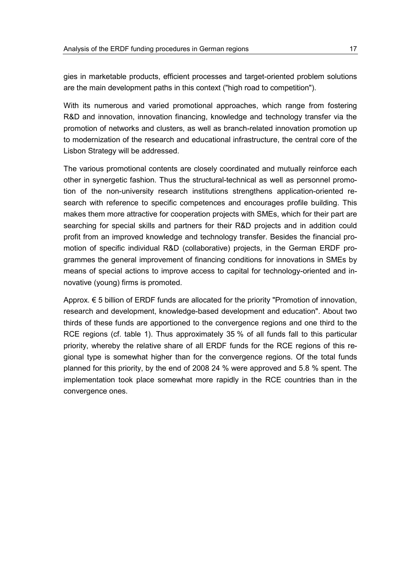gies in marketable products, efficient processes and target-oriented problem solutions are the main development paths in this context ("high road to competition").

With its numerous and varied promotional approaches, which range from fostering R&D and innovation, innovation financing, knowledge and technology transfer via the promotion of networks and clusters, as well as branch-related innovation promotion up to modernization of the research and educational infrastructure, the central core of the Lisbon Strategy will be addressed.

The various promotional contents are closely coordinated and mutually reinforce each other in synergetic fashion. Thus the structural-technical as well as personnel promotion of the non-university research institutions strengthens application-oriented research with reference to specific competences and encourages profile building. This makes them more attractive for cooperation projects with SMEs, which for their part are searching for special skills and partners for their R&D projects and in addition could profit from an improved knowledge and technology transfer. Besides the financial promotion of specific individual R&D (collaborative) projects, in the German ERDF programmes the general improvement of financing conditions for innovations in SMEs by means of special actions to improve access to capital for technology-oriented and innovative (young) firms is promoted.

Approx. € 5 billion of ERDF funds are allocated for the priority "Promotion of innovation, research and development, knowledge-based development and education". About two thirds of these funds are apportioned to the convergence regions and one third to the RCE regions (cf. table 1). Thus approximately 35 % of all funds fall to this particular priority, whereby the relative share of all ERDF funds for the RCE regions of this regional type is somewhat higher than for the convergence regions. Of the total funds planned for this priority, by the end of 2008 24 % were approved and 5.8 % spent. The implementation took place somewhat more rapidly in the RCE countries than in the convergence ones.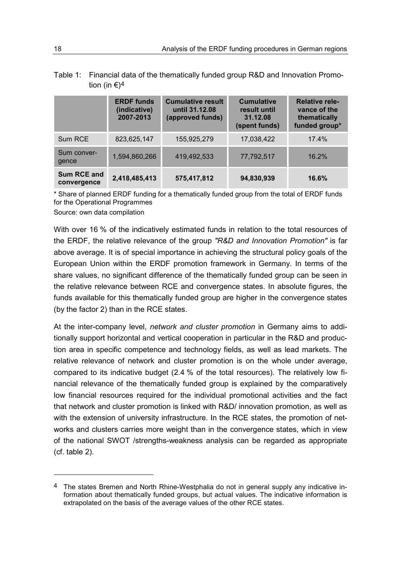Table 1: Financial data of the thematically funded group R&D and Innovation Promotion (in  $\epsilon$ )<sup>[4](#page-21-0)</sup>

|                            | <b>ERDF</b> funds<br>(indicative)<br>2007-2013 | <b>Cumulative result</b><br>until 31.12.08<br>(approved funds) | <b>Cumulative</b><br>result until<br>31.12.08<br>(spent funds) | <b>Relative rele-</b><br>vance of the<br>thematically<br>funded group* |
|----------------------------|------------------------------------------------|----------------------------------------------------------------|----------------------------------------------------------------|------------------------------------------------------------------------|
| Sum RCE                    | 823,625,147                                    | 155,925,279                                                    | 17,038,422                                                     | 17.4%                                                                  |
| Sum conver-<br>gence       | 1,594,860,266                                  | 419,492,533                                                    | 77,792,517                                                     | 16.2%                                                                  |
| Sum RCE and<br>convergence | 2,418,485,413                                  | 575,417,812                                                    | 94,830,939                                                     | 16.6%                                                                  |

\* Share of planned ERDF funding for a thematically funded group from the total of ERDF funds for the Operational Programmes

Source: own data compilation

With over 16 % of the indicatively estimated funds in relation to the total resources of the ERDF, the relative relevance of the group *"R&D and Innovation Promotion"* is far above average. It is of special importance in achieving the structural policy goals of the European Union within the ERDF promotion framework in Germany. In terms of the share values, no significant difference of the thematically funded group can be seen in the relative relevance between RCE and convergence states. In absolute figures, the funds available for this thematically funded group are higher in the convergence states (by the factor 2) than in the RCE states.

At the inter-company level, *network and cluster promotion* in Germany aims to additionally support horizontal and vertical cooperation in particular in the R&D and production area in specific competence and technology fields, as well as lead markets. The relative relevance of network and cluster promotion is on the whole under average, compared to its indicative budget (2.4 % of the total resources). The relatively low financial relevance of the thematically funded group is explained by the comparatively low financial resources required for the individual promotional activities and the fact that network and cluster promotion is linked with R&D/ innovation promotion, as well as with the extension of university infrastructure. In the RCE states, the promotion of networks and clusters carries more weight than in the convergence states, which in view of the national SWOT /strengths-weakness analysis can be regarded as appropriate (cf. table 2).

-

<span id="page-21-0"></span>The states Bremen and North Rhine-Westphalia do not in general supply any indicative information about thematically funded groups, but actual values. The indicative information is extrapolated on the basis of the average values of the other RCE states.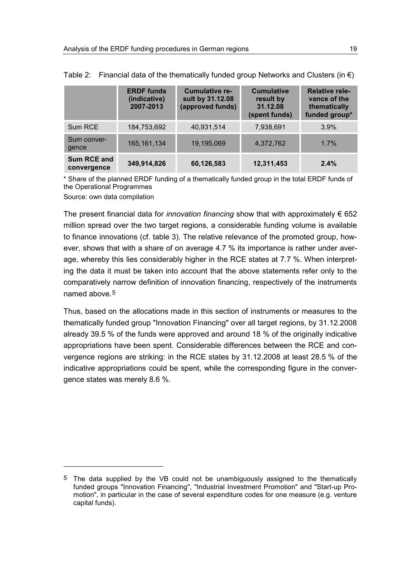|                            | <b>ERDF</b> funds<br>(indicative)<br>2007-2013 | <b>Cumulative re-</b><br>sult by 31.12.08<br>(approved funds) | <b>Cumulative</b><br>result by<br>31.12.08<br>(spent funds) | <b>Relative rele-</b><br>vance of the<br>thematically<br>funded group* |
|----------------------------|------------------------------------------------|---------------------------------------------------------------|-------------------------------------------------------------|------------------------------------------------------------------------|
| Sum RCE                    | 184,753,692                                    | 40,931,514                                                    | 7,938,691                                                   | 3.9%                                                                   |
| Sum conver-<br>gence       | 165, 161, 134                                  | 19,195,069                                                    | 4,372,762                                                   | 1.7%                                                                   |
| Sum RCE and<br>convergence | 349,914,826                                    | 60,126,583                                                    | 12,311,453                                                  | 2.4%                                                                   |

Table 2: Financial data of the thematically funded group Networks and Clusters (in  $\epsilon$ )

\* Share of the planned ERDF funding of a thematically funded group in the total ERDF funds of the Operational Programmes

Source: own data compilation

 $\ddot{\phantom{a}}$ 

The present financial data for *innovation financing* show that with approximately € 652 million spread over the two target regions, a considerable funding volume is available to finance innovations (cf. table 3). The relative relevance of the promoted group, however, shows that with a share of on average 4.7 % its importance is rather under average, whereby this lies considerably higher in the RCE states at 7.7 %. When interpreting the data it must be taken into account that the above statements refer only to the comparatively narrow definition of innovation financing, respectively of the instruments named above.[5](#page-22-0)

Thus, based on the allocations made in this section of instruments or measures to the thematically funded group "Innovation Financing" over all target regions, by 31.12.2008 already 39.5 % of the funds were approved and around 18 % of the originally indicative appropriations have been spent. Considerable differences between the RCE and convergence regions are striking: in the RCE states by 31.12.2008 at least 28.5 % of the indicative appropriations could be spent, while the corresponding figure in the convergence states was merely 8.6 %.

<span id="page-22-0"></span><sup>5</sup> The data supplied by the VB could not be unambiguously assigned to the thematically funded groups "Innovation Financing", "Industrial Investment Promotion" and "Start-up Promotion", in particular in the case of several expenditure codes for one measure (e.g. venture capital funds).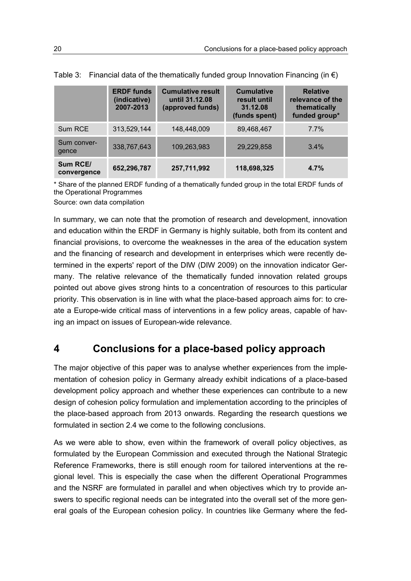|                         | <b>ERDF</b> funds<br>(indicative)<br>2007-2013 | <b>Cumulative result</b><br>until 31.12.08<br>(approved funds) | <b>Cumulative</b><br>result until<br>31.12.08<br>(funds spent) | <b>Relative</b><br>relevance of the<br>thematically<br>funded group* |
|-------------------------|------------------------------------------------|----------------------------------------------------------------|----------------------------------------------------------------|----------------------------------------------------------------------|
| Sum RCE                 | 313,529,144                                    | 148,448,009                                                    | 89,468,467                                                     | 7.7%                                                                 |
| Sum conver-<br>gence    | 338,767,643                                    | 109,263,983                                                    | 29,229,858                                                     | 3.4%                                                                 |
| Sum RCE/<br>convergence | 652,296,787                                    | 257,711,992                                                    | 118,698,325                                                    | 4.7%                                                                 |

Table 3: Financial data of the thematically funded group Innovation Financing (in  $\epsilon$ )

\* Share of the planned ERDF funding of a thematically funded group in the total ERDF funds of the Operational Programmes

Source: own data compilation

In summary, we can note that the promotion of research and development, innovation and education within the ERDF in Germany is highly suitable, both from its content and financial provisions, to overcome the weaknesses in the area of the education system and the financing of research and development in enterprises which were recently determined in the experts' report of the DIW (DIW 2009) on the innovation indicator Germany. The relative relevance of the thematically funded innovation related groups pointed out above gives strong hints to a concentration of resources to this particular priority. This observation is in line with what the place-based approach aims for: to create a Europe-wide critical mass of interventions in a few policy areas, capable of having an impact on issues of European-wide relevance.

# <span id="page-23-0"></span>**4 Conclusions for a place-based policy approach**

The major objective of this paper was to analyse whether experiences from the implementation of cohesion policy in Germany already exhibit indications of a place-based development policy approach and whether these experiences can contribute to a new design of cohesion policy formulation and implementation according to the principles of the place-based approach from 2013 onwards. Regarding the research questions we formulated in section 2.4 we come to the following conclusions.

As we were able to show, even within the framework of overall policy objectives, as formulated by the European Commission and executed through the National Strategic Reference Frameworks, there is still enough room for tailored interventions at the regional level. This is especially the case when the different Operational Programmes and the NSRF are formulated in parallel and when objectives which try to provide answers to specific regional needs can be integrated into the overall set of the more general goals of the European cohesion policy. In countries like Germany where the fed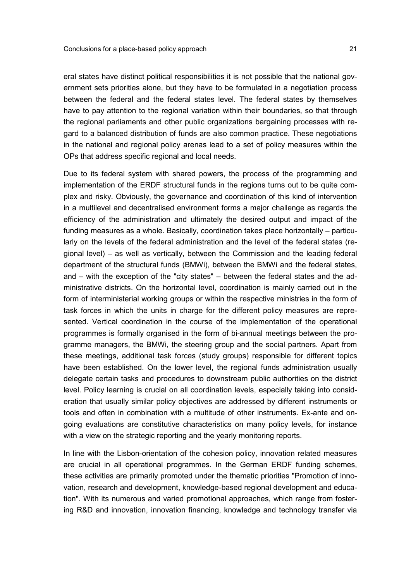eral states have distinct political responsibilities it is not possible that the national government sets priorities alone, but they have to be formulated in a negotiation process between the federal and the federal states level. The federal states by themselves have to pay attention to the regional variation within their boundaries, so that through the regional parliaments and other public organizations bargaining processes with regard to a balanced distribution of funds are also common practice. These negotiations in the national and regional policy arenas lead to a set of policy measures within the OPs that address specific regional and local needs.

Due to its federal system with shared powers, the process of the programming and implementation of the ERDF structural funds in the regions turns out to be quite complex and risky. Obviously, the governance and coordination of this kind of intervention in a multilevel and decentralised environment forms a major challenge as regards the efficiency of the administration and ultimately the desired output and impact of the funding measures as a whole. Basically, coordination takes place horizontally – particularly on the levels of the federal administration and the level of the federal states (regional level) – as well as vertically, between the Commission and the leading federal department of the structural funds (BMWi), between the BMWi and the federal states, and – with the exception of the "city states" – between the federal states and the administrative districts. On the horizontal level, coordination is mainly carried out in the form of interministerial working groups or within the respective ministries in the form of task forces in which the units in charge for the different policy measures are represented. Vertical coordination in the course of the implementation of the operational programmes is formally organised in the form of bi-annual meetings between the programme managers, the BMWi, the steering group and the social partners. Apart from these meetings, additional task forces (study groups) responsible for different topics have been established. On the lower level, the regional funds administration usually delegate certain tasks and procedures to downstream public authorities on the district level. Policy learning is crucial on all coordination levels, especially taking into consideration that usually similar policy objectives are addressed by different instruments or tools and often in combination with a multitude of other instruments. Ex-ante and ongoing evaluations are constitutive characteristics on many policy levels, for instance with a view on the strategic reporting and the yearly monitoring reports.

In line with the Lisbon-orientation of the cohesion policy, innovation related measures are crucial in all operational programmes. In the German ERDF funding schemes, these activities are primarily promoted under the thematic priorities "Promotion of innovation, research and development, knowledge-based regional development and education". With its numerous and varied promotional approaches, which range from fostering R&D and innovation, innovation financing, knowledge and technology transfer via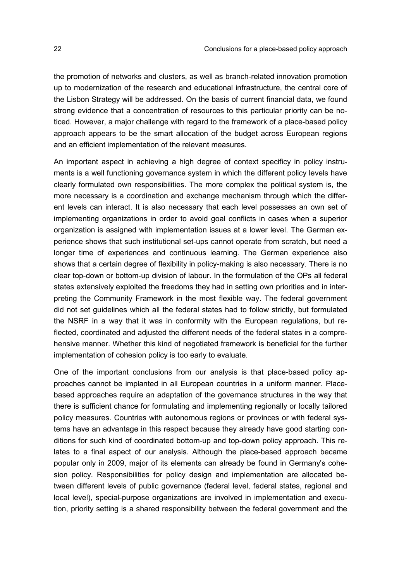the promotion of networks and clusters, as well as branch-related innovation promotion up to modernization of the research and educational infrastructure, the central core of the Lisbon Strategy will be addressed. On the basis of current financial data, we found strong evidence that a concentration of resources to this particular priority can be noticed. However, a major challenge with regard to the framework of a place-based policy approach appears to be the smart allocation of the budget across European regions and an efficient implementation of the relevant measures.

An important aspect in achieving a high degree of context specificy in policy instruments is a well functioning governance system in which the different policy levels have clearly formulated own responsibilities. The more complex the political system is, the more necessary is a coordination and exchange mechanism through which the different levels can interact. It is also necessary that each level possesses an own set of implementing organizations in order to avoid goal conflicts in cases when a superior organization is assigned with implementation issues at a lower level. The German experience shows that such institutional set-ups cannot operate from scratch, but need a longer time of experiences and continuous learning. The German experience also shows that a certain degree of flexibility in policy-making is also necessary. There is no clear top-down or bottom-up division of labour. In the formulation of the OPs all federal states extensively exploited the freedoms they had in setting own priorities and in interpreting the Community Framework in the most flexible way. The federal government did not set guidelines which all the federal states had to follow strictly, but formulated the NSRF in a way that it was in conformity with the European regulations, but reflected, coordinated and adjusted the different needs of the federal states in a comprehensive manner. Whether this kind of negotiated framework is beneficial for the further implementation of cohesion policy is too early to evaluate.

One of the important conclusions from our analysis is that place-based policy approaches cannot be implanted in all European countries in a uniform manner. Placebased approaches require an adaptation of the governance structures in the way that there is sufficient chance for formulating and implementing regionally or locally tailored policy measures. Countries with autonomous regions or provinces or with federal systems have an advantage in this respect because they already have good starting conditions for such kind of coordinated bottom-up and top-down policy approach. This relates to a final aspect of our analysis. Although the place-based approach became popular only in 2009, major of its elements can already be found in Germany's cohesion policy. Responsibilities for policy design and implementation are allocated between different levels of public governance (federal level, federal states, regional and local level), special-purpose organizations are involved in implementation and execution, priority setting is a shared responsibility between the federal government and the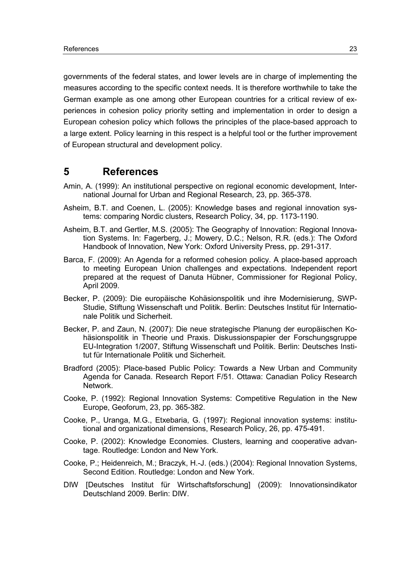governments of the federal states, and lower levels are in charge of implementing the measures according to the specific context needs. It is therefore worthwhile to take the German example as one among other European countries for a critical review of experiences in cohesion policy priority setting and implementation in order to design a European cohesion policy which follows the principles of the place-based approach to a large extent. Policy learning in this respect is a helpful tool or the further improvement of European structural and development policy.

#### <span id="page-26-0"></span>**5 References**

- Amin, A. (1999): An institutional perspective on regional economic development, International Journal for Urban and Regional Research, 23, pp. 365-378.
- Asheim, B.T. and Coenen, L. (2005): Knowledge bases and regional innovation systems: comparing Nordic clusters, Research Policy, 34, pp. 1173-1190.
- Asheim, B.T. and Gertler, M.S. (2005): The Geography of Innovation: Regional Innovation Systems. In: Fagerberg, J.; Mowery, D.C.; Nelson, R.R. (eds.): The Oxford Handbook of Innovation, New York: Oxford University Press, pp. 291-317.
- Barca, F. (2009): An Agenda for a reformed cohesion policy. A place-based approach to meeting European Union challenges and expectations. Independent report prepared at the request of Danuta Hübner, Commissioner for Regional Policy, April 2009.
- Becker, P. (2009): Die europäische Kohäsionspolitik und ihre Modernisierung, SWP-Studie, Stiftung Wissenschaft und Politik. Berlin: Deutsches Institut für Internationale Politik und Sicherheit.
- Becker, P. and Zaun, N. (2007): Die neue strategische Planung der europäischen Kohäsionspolitik in Theorie und Praxis. Diskussionspapier der Forschungsgruppe EU-Integration 1/2007, Stiftung Wissenschaft und Politik. Berlin: Deutsches Institut für Internationale Politik und Sicherheit.
- Bradford (2005): Place-based Public Policy: Towards a New Urban and Community Agenda for Canada. Research Report F/51. Ottawa: Canadian Policy Research Network.
- Cooke, P. (1992): Regional Innovation Systems: Competitive Regulation in the New Europe, Geoforum, 23, pp. 365-382.
- Cooke, P., Uranga, M.G., Etxebaria, G. (1997): Regional innovation systems: institutional and organizational dimensions, Research Policy, 26, pp. 475-491.
- Cooke, P. (2002): Knowledge Economies. Clusters, learning and cooperative advantage. Routledge: London and New York.
- Cooke, P.; Heidenreich, M.; Braczyk, H.-J. (eds.) (2004): Regional Innovation Systems, Second Edition. Routledge: London and New York.
- DIW [Deutsches Institut für Wirtschaftsforschung] (2009): Innovationsindikator Deutschland 2009. Berlin: DIW.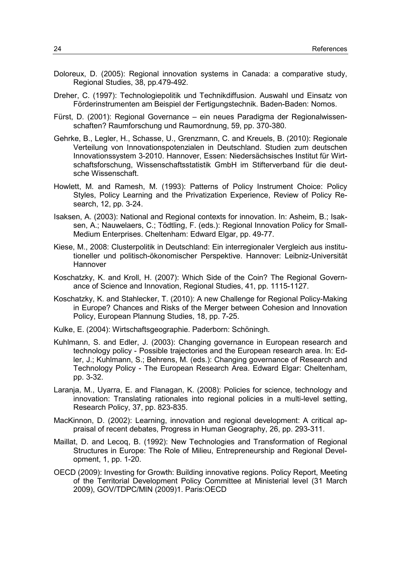- Doloreux, D. (2005): Regional innovation systems in Canada: a comparative study, Regional Studies, 38, pp.479-492.
- Dreher, C. (1997): Technologiepolitik und Technikdiffusion. Auswahl und Einsatz von Förderinstrumenten am Beispiel der Fertigungstechnik. Baden-Baden: Nomos.
- Fürst, D. (2001): Regional Governance ein neues Paradigma der Regionalwissenschaften? Raumforschung und Raumordnung, 59, pp. 370-380.
- Gehrke, B., Legler, H., Schasse, U., Grenzmann, C. and Kreuels, B. (2010): Regionale Verteilung von Innovationspotenzialen in Deutschland. Studien zum deutschen Innovationssystem 3-2010. Hannover, Essen: Niedersächsisches Institut für Wirtschaftsforschung, Wissenschaftsstatistik GmbH im Stifterverband für die deutsche Wissenschaft.
- Howlett, M. and Ramesh, M. (1993): Patterns of Policy Instrument Choice: Policy Styles, Policy Learning and the Privatization Experience, Review of Policy Research, 12, pp. 3-24.
- Isaksen, A. (2003): National and Regional contexts for innovation. In: Asheim, B.; Isaksen, A.; Nauwelaers, C.; Tödtling, F. (eds.): Regional Innovation Policy for Small-Medium Enterprises. Cheltenham: Edward Elgar, pp. 49-77.
- Kiese, M., 2008: Clusterpolitik in Deutschland: Ein interregionaler Vergleich aus institutioneller und politisch-ökonomischer Perspektive. Hannover: Leibniz-Universität Hannover
- Koschatzky, K. and Kroll, H. (2007): Which Side of the Coin? The Regional Governance of Science and Innovation, Regional Studies, 41, pp. 1115-1127.
- Koschatzky, K. and Stahlecker, T. (2010): A new Challenge for Regional Policy-Making in Europe? Chances and Risks of the Merger between Cohesion and Innovation Policy, European Plannung Studies, 18, pp. 7-25.
- Kulke, E. (2004): Wirtschaftsgeographie. Paderborn: Schöningh.
- Kuhlmann, S. and Edler, J. (2003): Changing governance in European research and technology policy - Possible trajectories and the European research area. In: Edler, J.; Kuhlmann, S.; Behrens, M. (eds.): Changing governance of Research and Technology Policy - The European Research Area. Edward Elgar: Cheltenham, pp. 3-32.
- Laranja, M., Uyarra, E. and Flanagan, K. (2008): Policies for science, technology and innovation: Translating rationales into regional policies in a multi-level setting, Research Policy, 37, pp. 823-835.
- MacKinnon, D. (2002): Learning, innovation and regional development: A critical appraisal of recent debates, Progress in Human Geography, 26, pp. 293-311.
- Maillat, D. and Lecoq, B. (1992): New Technologies and Transformation of Regional Structures in Europe: The Role of Milieu, Entrepreneurship and Regional Development, 1, pp. 1-20.
- OECD (2009): Investing for Growth: Building innovative regions. Policy Report, Meeting of the Territorial Development Policy Committee at Ministerial level (31 March 2009), GOV/TDPC/MIN (2009)1. Paris:OECD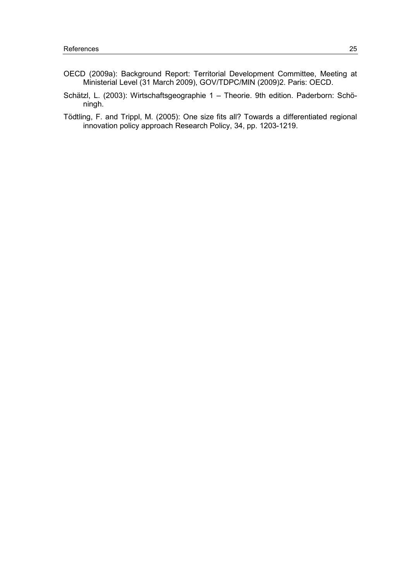- OECD (2009a): Background Report: Territorial Development Committee, Meeting at Ministerial Level (31 March 2009), GOV/TDPC/MIN (2009)2. Paris: OECD.
- Schätzl, L. (2003): Wirtschaftsgeographie 1 Theorie. 9th edition. Paderborn: Schöningh.
- Tödtling, F. and Trippl, M. (2005): One size fits all? Towards a differentiated regional innovation policy approach Research Policy, 34, pp. 1203-1219.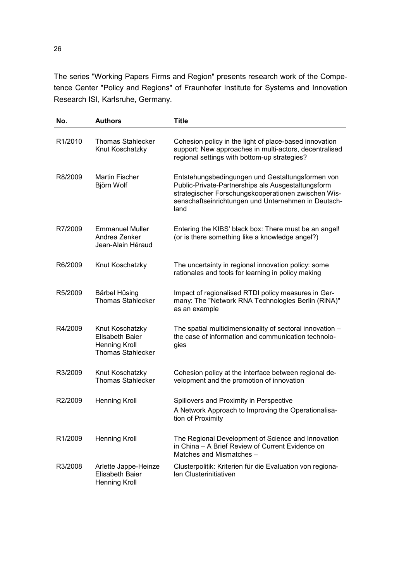The series "Working Papers Firms and Region" presents research work of the Competence Center "Policy and Regions" of Fraunhofer Institute for Systems and Innovation Research ISI, Karlsruhe, Germany.

| No.                  | <b>Authors</b>                                                                                | <b>Title</b>                                                                                                                                                                                                                 |
|----------------------|-----------------------------------------------------------------------------------------------|------------------------------------------------------------------------------------------------------------------------------------------------------------------------------------------------------------------------------|
| R <sub>1</sub> /2010 | <b>Thomas Stahlecker</b><br>Knut Koschatzky                                                   | Cohesion policy in the light of place-based innovation<br>support: New approaches in multi-actors, decentralised<br>regional settings with bottom-up strategies?                                                             |
| R8/2009              | Martin Fischer<br>Björn Wolf                                                                  | Entstehungsbedingungen und Gestaltungsformen von<br>Public-Private-Partnerships als Ausgestaltungsform<br>strategischer Forschungskooperationen zwischen Wis-<br>senschaftseinrichtungen und Unternehmen in Deutsch-<br>land |
| R7/2009              | <b>Emmanuel Muller</b><br>Andrea Zenker<br>Jean-Alain Héraud                                  | Entering the KIBS' black box: There must be an angel!<br>(or is there something like a knowledge angel?)                                                                                                                     |
| R6/2009              | Knut Koschatzky                                                                               | The uncertainty in regional innovation policy: some<br>rationales and tools for learning in policy making                                                                                                                    |
| R5/2009              | <b>Bärbel Hüsing</b><br><b>Thomas Stahlecker</b>                                              | Impact of regionalised RTDI policy measures in Ger-<br>many: The "Network RNA Technologies Berlin (RiNA)"<br>as an example                                                                                                   |
| R4/2009              | Knut Koschatzky<br><b>Elisabeth Baier</b><br><b>Henning Kroll</b><br><b>Thomas Stahlecker</b> | The spatial multidimensionality of sectoral innovation -<br>the case of information and communication technolo-<br>gies                                                                                                      |
| R3/2009              | Knut Koschatzky<br><b>Thomas Stahlecker</b>                                                   | Cohesion policy at the interface between regional de-<br>velopment and the promotion of innovation                                                                                                                           |
| R2/2009              | <b>Henning Kroll</b>                                                                          | Spillovers and Proximity in Perspective<br>A Network Approach to Improving the Operationalisa-<br>tion of Proximity                                                                                                          |
| R <sub>1</sub> /2009 | <b>Henning Kroll</b>                                                                          | The Regional Development of Science and Innovation<br>in China - A Brief Review of Current Evidence on<br>Matches and Mismatches -                                                                                           |
| R3/2008              | Arlette Jappe-Heinze<br><b>Elisabeth Baier</b><br><b>Henning Kroll</b>                        | Clusterpolitik: Kriterien für die Evaluation von regiona-<br>len Clusterinitiativen                                                                                                                                          |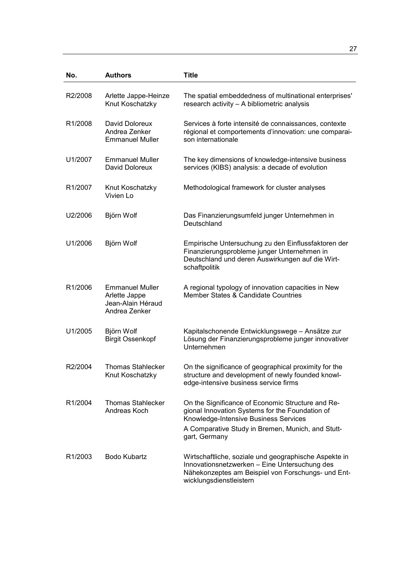| No.                  | <b>Authors</b>                                                                | <b>Title</b>                                                                                                                                                                                                        |
|----------------------|-------------------------------------------------------------------------------|---------------------------------------------------------------------------------------------------------------------------------------------------------------------------------------------------------------------|
| R2/2008              | Arlette Jappe-Heinze<br>Knut Koschatzky                                       | The spatial embeddedness of multinational enterprises'<br>research activity - A bibliometric analysis                                                                                                               |
| R <sub>1</sub> /2008 | David Doloreux<br>Andrea Zenker<br><b>Emmanuel Muller</b>                     | Services à forte intensité de connaissances, contexte<br>régional et comportements d'innovation: une comparai-<br>son internationale                                                                                |
| U1/2007              | <b>Emmanuel Muller</b><br>David Doloreux                                      | The key dimensions of knowledge-intensive business<br>services (KIBS) analysis: a decade of evolution                                                                                                               |
| R <sub>1</sub> /2007 | Knut Koschatzky<br>Vivien Lo                                                  | Methodological framework for cluster analyses                                                                                                                                                                       |
| U2/2006              | Björn Wolf                                                                    | Das Finanzierungsumfeld junger Unternehmen in<br>Deutschland                                                                                                                                                        |
| U1/2006              | Björn Wolf                                                                    | Empirische Untersuchung zu den Einflussfaktoren der<br>Finanzierungsprobleme junger Unternehmen in<br>Deutschland und deren Auswirkungen auf die Wirt-<br>schaftpolitik                                             |
| R <sub>1</sub> /2006 | <b>Emmanuel Muller</b><br>Arlette Jappe<br>Jean-Alain Héraud<br>Andrea Zenker | A regional typology of innovation capacities in New<br>Member States & Candidate Countries                                                                                                                          |
| U1/2005              | Björn Wolf<br><b>Birgit Ossenkopf</b>                                         | Kapitalschonende Entwicklungswege - Ansätze zur<br>Lösung der Finanzierungsprobleme junger innovativer<br>Unternehmen                                                                                               |
| R2/2004              | <b>Thomas Stahlecker</b><br>Knut Koschatzky                                   | On the significance of geographical proximity for the<br>structure and development of newly founded knowl-<br>edge-intensive business service firms                                                                 |
| R <sub>1</sub> /2004 | <b>Thomas Stahlecker</b><br>Andreas Koch                                      | On the Significance of Economic Structure and Re-<br>gional Innovation Systems for the Foundation of<br>Knowledge-Intensive Business Services<br>A Comparative Study in Bremen, Munich, and Stutt-<br>gart, Germany |
| R <sub>1</sub> /2003 | <b>Bodo Kubartz</b>                                                           | Wirtschaftliche, soziale und geographische Aspekte in<br>Innovationsnetzwerken - Eine Untersuchung des<br>Nähekonzeptes am Beispiel von Forschungs- und Ent-<br>wicklungsdienstleistern                             |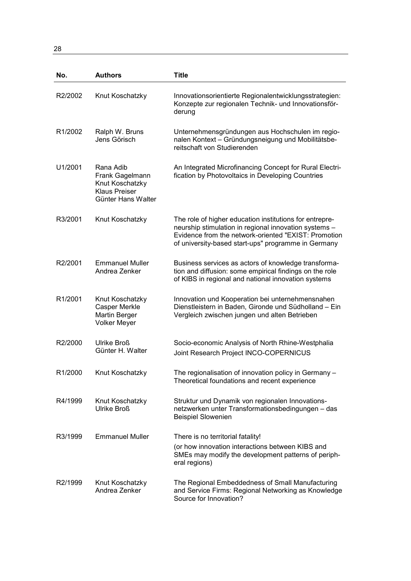28

| No.                  | <b>Authors</b>                                                                                | <b>Title</b>                                                                                                                                                                                                                    |
|----------------------|-----------------------------------------------------------------------------------------------|---------------------------------------------------------------------------------------------------------------------------------------------------------------------------------------------------------------------------------|
| R2/2002              | Knut Koschatzky                                                                               | Innovationsorientierte Regionalentwicklungsstrategien:<br>Konzepte zur regionalen Technik- und Innovationsför-<br>derung                                                                                                        |
| R <sub>1</sub> /2002 | Ralph W. Bruns<br>Jens Görisch                                                                | Unternehmensgründungen aus Hochschulen im regio-<br>nalen Kontext - Gründungsneigung und Mobilitätsbe-<br>reitschaft von Studierenden                                                                                           |
| U1/2001              | Rana Adib<br>Frank Gagelmann<br>Knut Koschatzky<br><b>Klaus Preiser</b><br>Günter Hans Walter | An Integrated Microfinancing Concept for Rural Electri-<br>fication by Photovoltaics in Developing Countries                                                                                                                    |
| R3/2001              | Knut Koschatzky                                                                               | The role of higher education institutions for entrepre-<br>neurship stimulation in regional innovation systems -<br>Evidence from the network-oriented "EXIST: Promotion<br>of university-based start-ups" programme in Germany |
| R2/2001              | <b>Emmanuel Muller</b><br>Andrea Zenker                                                       | Business services as actors of knowledge transforma-<br>tion and diffusion: some empirical findings on the role<br>of KIBS in regional and national innovation systems                                                          |
| R1/2001              | Knut Koschatzky<br><b>Casper Merkle</b><br>Martin Berger<br><b>Volker Meyer</b>               | Innovation und Kooperation bei unternehmensnahen<br>Dienstleistern in Baden, Gironde und Südholland - Ein<br>Vergleich zwischen jungen und alten Betrieben                                                                      |
| R2/2000              | Ulrike Broß<br>Günter H. Walter                                                               | Socio-economic Analysis of North Rhine-Westphalia<br>Joint Research Project INCO-COPERNICUS                                                                                                                                     |
| R <sub>1</sub> /2000 | Knut Koschatzky                                                                               | The regionalisation of innovation policy in Germany -<br>Theoretical foundations and recent experience                                                                                                                          |
| R4/1999              | Knut Koschatzky<br>Ulrike Broß                                                                | Struktur und Dynamik von regionalen Innovations-<br>netzwerken unter Transformationsbedingungen - das<br><b>Beispiel Slowenien</b>                                                                                              |
| R3/1999              | <b>Emmanuel Muller</b>                                                                        | There is no territorial fatality!<br>(or how innovation interactions between KIBS and<br>SMEs may modify the development patterns of periph-<br>eral regions)                                                                   |
| R <sub>2</sub> /1999 | Knut Koschatzky<br>Andrea Zenker                                                              | The Regional Embeddedness of Small Manufacturing<br>and Service Firms: Regional Networking as Knowledge<br>Source for Innovation?                                                                                               |